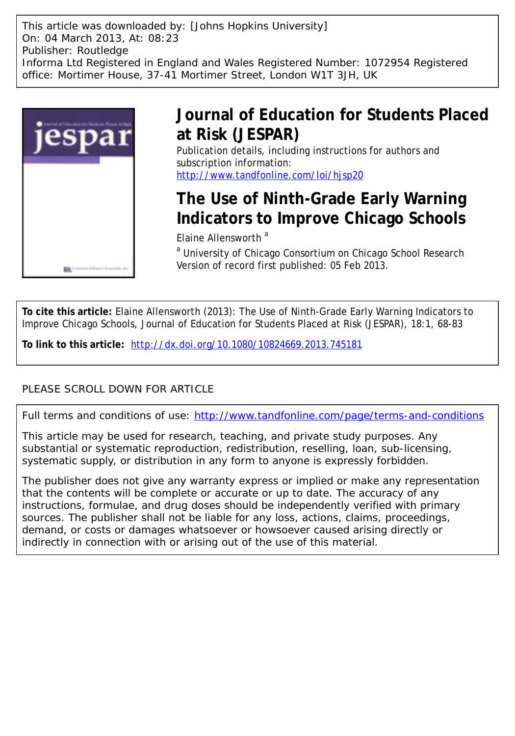This article was downloaded by: [Johns Hopkins University] On: 04 March 2013, At: 08:23 Publisher: Routledge Informa Ltd Registered in England and Wales Registered Number: 1072954 Registered office: Mortimer House, 37-41 Mortimer Street, London W1T 3JH, UK



# **Journal of Education for Students Placed at Risk (JESPAR)**

Publication details, including instructions for authors and subscription information: <http://www.tandfonline.com/loi/hjsp20>

# **The Use of Ninth-Grade Early Warning Indicators to Improve Chicago Schools**

Elaine Allensworth<sup>a</sup>

<sup>a</sup> University of Chicago Consortium on Chicago School Research Version of record first published: 05 Feb 2013.

**To cite this article:** Elaine Allensworth (2013): The Use of Ninth-Grade Early Warning Indicators to Improve Chicago Schools, Journal of Education for Students Placed at Risk (JESPAR), 18:1, 68-83

**To link to this article:** <http://dx.doi.org/10.1080/10824669.2013.745181>

# PLEASE SCROLL DOWN FOR ARTICLE

Full terms and conditions of use:<http://www.tandfonline.com/page/terms-and-conditions>

This article may be used for research, teaching, and private study purposes. Any substantial or systematic reproduction, redistribution, reselling, loan, sub-licensing, systematic supply, or distribution in any form to anyone is expressly forbidden.

The publisher does not give any warranty express or implied or make any representation that the contents will be complete or accurate or up to date. The accuracy of any instructions, formulae, and drug doses should be independently verified with primary sources. The publisher shall not be liable for any loss, actions, claims, proceedings, demand, or costs or damages whatsoever or howsoever caused arising directly or indirectly in connection with or arising out of the use of this material.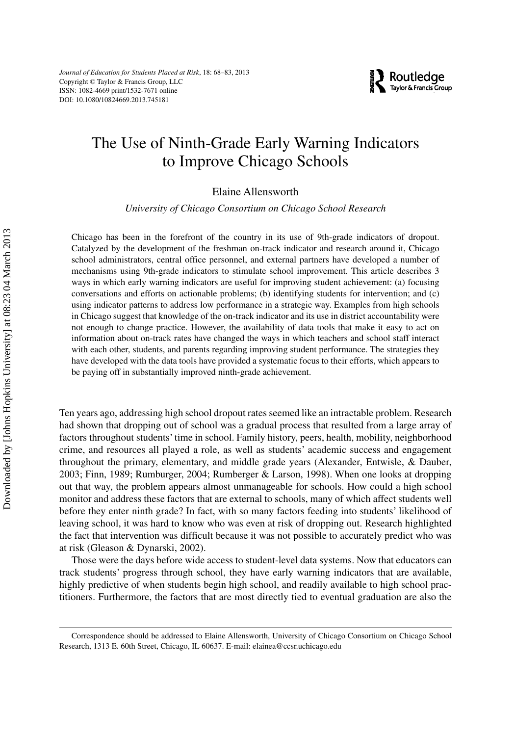

# The Use of Ninth-Grade Early Warning Indicators to Improve Chicago Schools

### Elaine Allensworth

 *University of Chicago Consortium on Chicago School Research* 

 Chicago has been in the forefront of the country in its use of 9th-grade indicators of dropout. Catalyzed by the development of the freshman on-track indicator and research around it, Chicago school administrators, central office personnel, and external partners have developed a number of mechanisms using 9th-grade indicators to stimulate school improvement. This article describes 3 ways in which early warning indicators are useful for improving student achievement: (a) focusing conversations and efforts on actionable problems; (b) identifying students for intervention; and (c) using indicator patterns to address low performance in a strategic way. Examples from high schools in Chicago suggest that knowledge of the on-track indicator and its use in district accountability were not enough to change practice. However, the availability of data tools that make it easy to act on information about on-track rates have changed the ways in which teachers and school staff interact with each other, students, and parents regarding improving student performance. The strategies they have developed with the data tools have provided a systematic focus to their efforts, which appears to be paying off in substantially improved ninth-grade achievement.

Ten years ago, addressing high school dropout rates seemed like an intractable problem. Research had shown that dropping out of school was a gradual process that resulted from a large array of factors throughout students' time in school. Family history, peers, health, mobility, neighborhood crime, and resources all played a role, as well as students' academic success and engagement throughout the primary, elementary, and middle grade years (Alexander, Entwisle, & Dauber, 2003; Finn, 1989; Rumburger, 2004; Rumberger & Larson, 1998). When one looks at dropping out that way, the problem appears almost unmanageable for schools. How could a high school monitor and address these factors that are external to schools, many of which affect students well before they enter ninth grade? In fact, with so many factors feeding into students' likelihood of leaving school, it was hard to know who was even at risk of dropping out. Research highlighted the fact that intervention was difficult because it was not possible to accurately predict who was at risk (Gleason & Dynarski, 2002).

Those were the days before wide access to student-level data systems. Now that educators can track students' progress through school, they have early warning indicators that are available, highly predictive of when students begin high school, and readily available to high school practitioners. Furthermore, the factors that are most directly tied to eventual graduation are also the

Correspondence should be addressed to Elaine Allensworth, University of Chicago Consortium on Chicago School Research, 1313 E. 60th Street, Chicago, IL 60637. E-mail: elainea@ccsr.uchicago.edu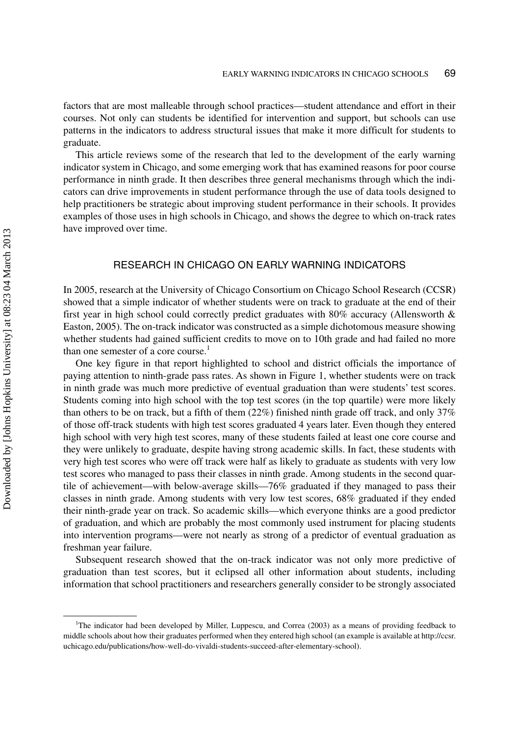factors that are most malleable through school practices—student attendance and effort in their courses. Not only can students be identified for intervention and support, but schools can use patterns in the indicators to address structural issues that make it more difficult for students to graduate.

This article reviews some of the research that led to the development of the early warning indicator system in Chicago, and some emerging work that has examined reasons for poor course performance in ninth grade. It then describes three general mechanisms through which the indicators can drive improvements in student performance through the use of data tools designed to help practitioners be strategic about improving student performance in their schools. It provides examples of those uses in high schools in Chicago, and shows the degree to which on-track rates have improved over time.

#### RESEARCH IN CHICAGO ON EARLY WARNING INDICATORS

In 2005, research at the University of Chicago Consortium on Chicago School Research (CCSR) showed that a simple indicator of whether students were on track to graduate at the end of their first year in high school could correctly predict graduates with 80% accuracy (Allensworth & Easton, 2005). The on-track indicator was constructed as a simple dichotomous measure showing whether students had gained sufficient credits to move on to 10th grade and had failed no more than one semester of a core course. $<sup>1</sup>$ </sup>

One key figure in that report highlighted to school and district officials the importance of paying attention to ninth-grade pass rates. As shown in Figure 1, whether students were on track in ninth grade was much more predictive of eventual graduation than were students' test scores. Students coming into high school with the top test scores (in the top quartile) were more likely than others to be on track, but a fifth of them (22%) finished ninth grade off track, and only 37% of those off-track students with high test scores graduated 4 years later. Even though they entered high school with very high test scores, many of these students failed at least one core course and they were unlikely to graduate, despite having strong academic skills. In fact, these students with very high test scores who were off track were half as likely to graduate as students with very low test scores who managed to pass their classes in ninth grade. Among students in the second quartile of achievement—with below-average skills—76% graduated if they managed to pass their classes in ninth grade. Among students with very low test scores, 68% graduated if they ended their ninth-grade year on track. So academic skills—which everyone thinks are a good predictor of graduation, and which are probably the most commonly used instrument for placing students into intervention programs—were not nearly as strong of a predictor of eventual graduation as freshman year failure.

Subsequent research showed that the on-track indicator was not only more predictive of graduation than test scores, but it eclipsed all other information about students, including information that school practitioners and researchers generally consider to be strongly associated

<sup>&</sup>lt;sup>1</sup>The indicator had been developed by Miller, Luppescu, and Correa (2003) as a means of providing feedback to middle schools about how their graduates performed when they entered high school (an example is available at http://ccsr. uchicago.edu/publications/how-well-do-vivaldi-students-succeed-after-elementary-school).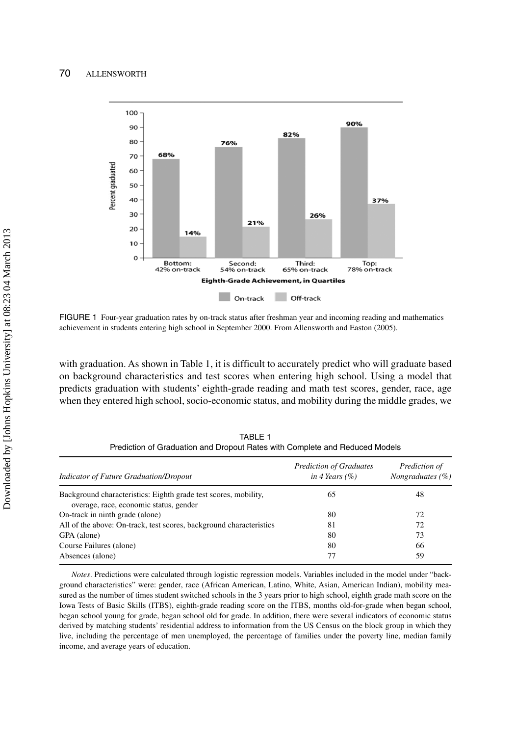

FIGURE 1 Four-year graduation rates by on-track status after freshman year and incoming reading and mathematics achievement in students entering high school in September 2000. From Allensworth and Easton (2005).

with graduation. As shown in Table 1, it is difficult to accurately predict who will graduate based on background characteristics and test scores when entering high school. Using a model that predicts graduation with students' eighth-grade reading and math test scores, gender, race, age when they entered high school, socio-economic status, and mobility during the middle grades, we

| Indicator of Future Graduation/Dropout                                                                    | <b>Prediction of Graduates</b><br>in 4 Years $(\%)$ | <b>Prediction of</b><br>Nongraduates $(\% )$ |
|-----------------------------------------------------------------------------------------------------------|-----------------------------------------------------|----------------------------------------------|
| Background characteristics: Eighth grade test scores, mobility,<br>overage, race, economic status, gender | 65                                                  | 48                                           |
| On-track in ninth grade (alone)                                                                           | 80                                                  | 72                                           |
| All of the above: On-track, test scores, background characteristics                                       | 81                                                  | 72                                           |
| GPA (alone)                                                                                               | 80                                                  | 73                                           |
| Course Failures (alone)                                                                                   | 80                                                  | 66                                           |
| Absences (alone)                                                                                          | 77                                                  | 59                                           |

TABLE 1 Prediction of Graduation and Dropout Rates with Complete and Reduced Models

*Notes*. Predictions were calculated through logistic regression models. Variables included in the model under "background characteristics" were: gender, race (African American, Latino, White, Asian, American Indian), mobility measured as the number of times student switched schools in the 3 years prior to high school, eighth grade math score on the Iowa Tests of Basic Skills (ITBS), eighth-grade reading score on the ITBS, months old-for-grade when began school, began school young for grade, began school old for grade. In addition, there were several indicators of economic status derived by matching students' residential address to information from the US Census on the block group in which they live, including the percentage of men unemployed, the percentage of families under the poverty line, median family income, and average years of education.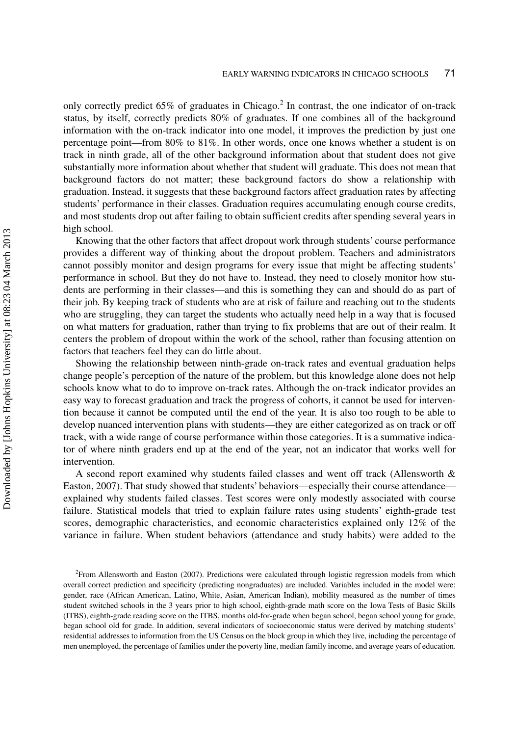only correctly predict  $65\%$  of graduates in Chicago.<sup>2</sup> In contrast, the one indicator of on-track status, by itself, correctly predicts 80% of graduates. If one combines all of the background information with the on-track indicator into one model, it improves the prediction by just one percentage point—from 80% to 81%. In other words, once one knows whether a student is on track in ninth grade, all of the other background information about that student does not give substantially more information about whether that student will graduate. This does not mean that background factors do not matter; these background factors do show a relationship with graduation. Instead, it suggests that these background factors affect graduation rates by affecting students' performance in their classes. Graduation requires accumulating enough course credits, and most students drop out after failing to obtain sufficient credits after spending several years in high school.

Knowing that the other factors that affect dropout work through students' course performance provides a different way of thinking about the dropout problem. Teachers and administrators cannot possibly monitor and design programs for every issue that might be affecting students' performance in school. But they do not have to. Instead, they need to closely monitor how students are performing in their classes—and this is something they can and should do as part of their job. By keeping track of students who are at risk of failure and reaching out to the students who are struggling, they can target the students who actually need help in a way that is focused on what matters for graduation, rather than trying to fix problems that are out of their realm. It centers the problem of dropout within the work of the school, rather than focusing attention on factors that teachers feel they can do little about.

Showing the relationship between ninth-grade on-track rates and eventual graduation helps change people's perception of the nature of the problem, but this knowledge alone does not help schools know what to do to improve on-track rates. Although the on-track indicator provides an easy way to forecast graduation and track the progress of cohorts, it cannot be used for intervention because it cannot be computed until the end of the year. It is also too rough to be able to develop nuanced intervention plans with students—they are either categorized as on track or off track, with a wide range of course performance within those categories. It is a summative indicator of where ninth graders end up at the end of the year, not an indicator that works well for intervention.

A second report examined why students failed classes and went off track (Allensworth & Easton, 2007). That study showed that students' behaviors—especially their course attendance explained why students failed classes. Test scores were only modestly associated with course failure. Statistical models that tried to explain failure rates using students' eighth-grade test scores, demographic characteristics, and economic characteristics explained only 12% of the variance in failure. When student behaviors (attendance and study habits) were added to the

<sup>2</sup> From Allensworth and Easton (2007). Predictions were calculated through logistic regression models from which overall correct prediction and specificity (predicting nongraduates) are included. Variables included in the model were: gender, race (African American, Latino, White, Asian, American Indian), mobility measured as the number of times student switched schools in the 3 years prior to high school, eighth-grade math score on the Iowa Tests of Basic Skills (ITBS), eighth-grade reading score on the ITBS, months old-for-grade when began school, began school young for grade, began school old for grade. In addition, several indicators of socioeconomic status were derived by matching students' residential addresses to information from the US Census on the block group in which they live, including the percentage of men unemployed, the percentage of families under the poverty line, median family income, and average years of education.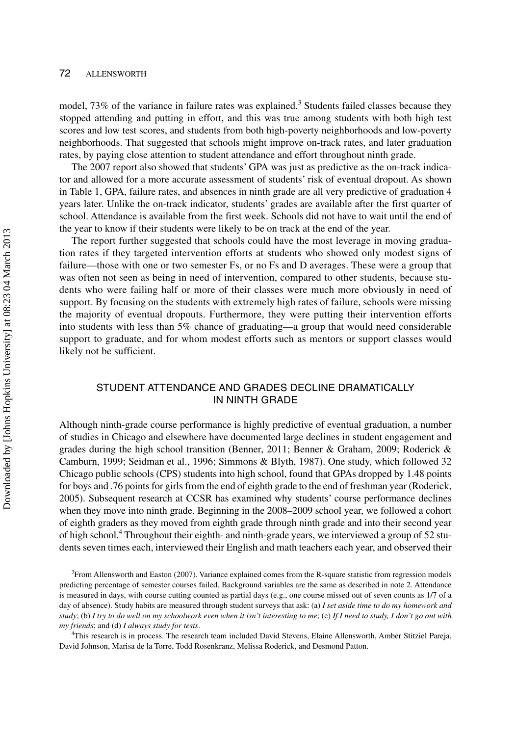#### 72 ALLENSWORTH

model,  $73\%$  of the variance in failure rates was explained.<sup>3</sup> Students failed classes because they stopped attending and putting in effort, and this was true among students with both high test scores and low test scores, and students from both high-poverty neighborhoods and low-poverty neighborhoods. That suggested that schools might improve on-track rates, and later graduation rates, by paying close attention to student attendance and effort throughout ninth grade.

The 2007 report also showed that students' GPA was just as predictive as the on-track indicator and allowed for a more accurate assessment of students' risk of eventual dropout. As shown in Table 1, GPA, failure rates, and absences in ninth grade are all very predictive of graduation 4 years later. Unlike the on-track indicator, students' grades are available after the first quarter of school. Attendance is available from the first week. Schools did not have to wait until the end of the year to know if their students were likely to be on track at the end of the year.

The report further suggested that schools could have the most leverage in moving graduation rates if they targeted intervention efforts at students who showed only modest signs of failure—those with one or two semester Fs, or no Fs and D averages. These were a group that was often not seen as being in need of intervention, compared to other students, because students who were failing half or more of their classes were much more obviously in need of support. By focusing on the students with extremely high rates of failure, schools were missing the majority of eventual dropouts. Furthermore, they were putting their intervention efforts into students with less than 5% chance of graduating—a group that would need considerable support to graduate, and for whom modest efforts such as mentors or support classes would likely not be sufficient.

## STUDENT ATTENDANCE AND GRADES DECLINE DRAMATICALLY IN NINTH GRADE

Although ninth-grade course performance is highly predictive of eventual graduation, a number of studies in Chicago and elsewhere have documented large declines in student engagement and grades during the high school transition (Benner, 2011; Benner & Graham, 2009; Roderick & Camburn, 1999; Seidman et al., 1996; Simmons & Blyth, 1987). One study, which followed 32 Chicago public schools (CPS) students into high school, found that GPAs dropped by 1.48 points for boys and .76 points for girls from the end of eighth grade to the end of freshman year (Roderick, 2005). Subsequent research at CCSR has examined why students' course performance declines when they move into ninth grade. Beginning in the 2008–2009 school year, we followed a cohort of eighth graders as they moved from eighth grade through ninth grade and into their second year of high school.<sup>4</sup> Throughout their eighth- and ninth-grade years, we interviewed a group of 52 students seven times each, interviewed their English and math teachers each year, and observed their

<sup>&</sup>lt;sup>3</sup> From Allensworth and Easton (2007). Variance explained comes from the R-square statistic from regression models predicting percentage of semester courses failed. Background variables are the same as described in note 2. Attendance is measured in days, with course cutting counted as partial days (e.g., one course missed out of seven counts as 1/7 of a day of absence). Study habits are measured through student surveys that ask: (a) *I set aside time to do my homework and study*; (b) *I try to do well on my schoolwork even when it isn't interesting to me*; (c) *If I need to study, I don't go out with my friends*; and (d) *I always study for tests*. 4

<sup>&</sup>lt;sup>4</sup>This research is in process. The research team included David Stevens, Elaine Allensworth, Amber Stitziel Pareja, David Johnson, Marisa de la Torre, Todd Rosenkranz, Melissa Roderick, and Desmond Patton.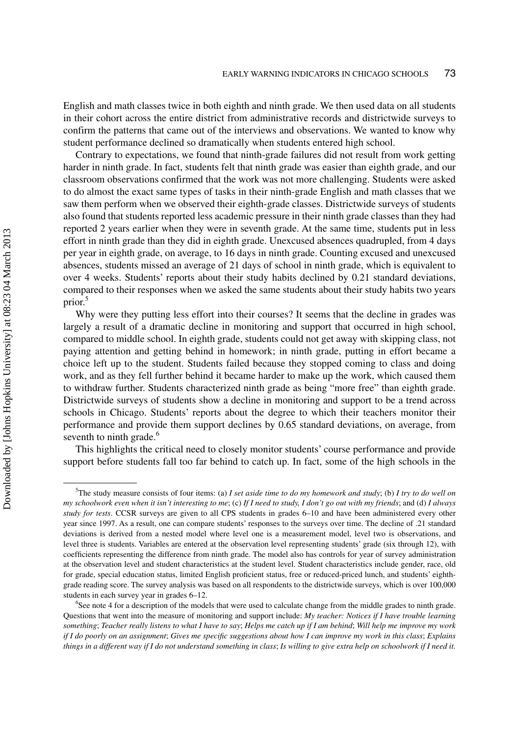English and math classes twice in both eighth and ninth grade. We then used data on all students in their cohort across the entire district from administrative records and districtwide surveys to confirm the patterns that came out of the interviews and observations. We wanted to know why student performance declined so dramatically when students entered high school.

Contrary to expectations, we found that ninth-grade failures did not result from work getting harder in ninth grade. In fact, students felt that ninth grade was easier than eighth grade, and our classroom observations confirmed that the work was not more challenging. Students were asked to do almost the exact same types of tasks in their ninth-grade English and math classes that we saw them perform when we observed their eighth-grade classes. Districtwide surveys of students also found that students reported less academic pressure in their ninth grade classes than they had reported 2 years earlier when they were in seventh grade. At the same time, students put in less effort in ninth grade than they did in eighth grade. Unexcused absences quadrupled, from 4 days per year in eighth grade, on average, to 16 days in ninth grade. Counting excused and unexcused absences, students missed an average of 21 days of school in ninth grade, which is equivalent to over 4 weeks. Students' reports about their study habits declined by 0.21 standard deviations, compared to their responses when we asked the same students about their study habits two years prior.<sup>5</sup>

Why were they putting less effort into their courses? It seems that the decline in grades was largely a result of a dramatic decline in monitoring and support that occurred in high school, compared to middle school. In eighth grade, students could not get away with skipping class, not paying attention and getting behind in homework; in ninth grade, putting in effort became a choice left up to the student. Students failed because they stopped coming to class and doing work, and as they fell further behind it became harder to make up the work, which caused them to withdraw further. Students characterized ninth grade as being "more free" than eighth grade. Districtwide surveys of students show a decline in monitoring and support to be a trend across schools in Chicago. Students' reports about the degree to which their teachers monitor their performance and provide them support declines by 0.65 standard deviations, on average, from seventh to ninth grade.<sup>6</sup>

This highlights the critical need to closely monitor students' course performance and provide support before students fall too far behind to catch up. In fact, some of the high schools in the

<sup>5</sup> The study measure consists of four items: (a) *I set aside time to do my homework and study*; (b) *I try to do well on my schoolwork even when it isn't interesting to me*; (c) *If I need to study, I don't go out with my friends*; and (d) *I always study for tests*. CCSR surveys are given to all CPS students in grades 6–10 and have been administered every other year since 1997. As a result, one can compare students' responses to the surveys over time. The decline of .21 standard deviations is derived from a nested model where level one is a measurement model, level two is observations, and level three is students. Variables are entered at the observation level representing students' grade (six through 12), with coefficients representing the difference from ninth grade. The model also has controls for year of survey administration at the observation level and student characteristics at the student level. Student characteristics include gender, race, old for grade, special education status, limited English proficient status, free or reduced-priced lunch, and students' eighthgrade reading score. The survey analysis was based on all respondents to the districtwide surveys, which is over 100,000 students in each survey year in grades 6–12.

<sup>&</sup>lt;sup>6</sup>See note 4 for a description of the models that were used to calculate change from the middle grades to ninth grade. Questions that went into the measure of monitoring and support include: *My teacher: Notices if I have trouble learning something*; *Teacher really listens to what I have to say*; *Helps me catch up if I am behind*; *Will help me improve my work if I do poorly on an assignment*; *Gives me specific suggestions about how I can improve my work in this class*; *Explains things in a different way if I do not understand something in class*; *Is willing to give extra help on schoolwork if I need it.*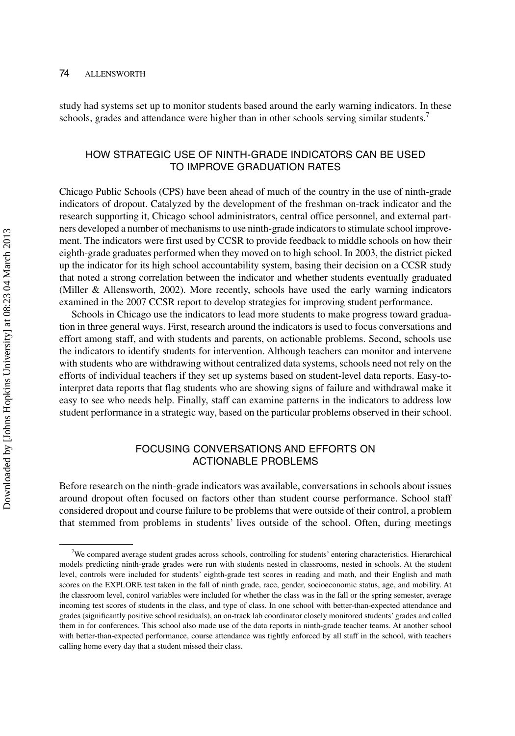study had systems set up to monitor students based around the early warning indicators. In these schools, grades and attendance were higher than in other schools serving similar students.<sup>7</sup>

## HOW STRATEGIC USE OF NINTH-GRADE INDICATORS CAN BE USED TO IMPROVE GRADUATION RATES

Chicago Public Schools (CPS) have been ahead of much of the country in the use of ninth-grade indicators of dropout. Catalyzed by the development of the freshman on-track indicator and the research supporting it, Chicago school administrators, central office personnel, and external partners developed a number of mechanisms to use ninth-grade indicators to stimulate school improvement. The indicators were first used by CCSR to provide feedback to middle schools on how their eighth-grade graduates performed when they moved on to high school. In 2003, the district picked up the indicator for its high school accountability system, basing their decision on a CCSR study that noted a strong correlation between the indicator and whether students eventually graduated (Miller & Allensworth, 2002). More recently, schools have used the early warning indicators examined in the 2007 CCSR report to develop strategies for improving student performance.

Schools in Chicago use the indicators to lead more students to make progress toward graduation in three general ways. First, research around the indicators is used to focus conversations and effort among staff, and with students and parents, on actionable problems. Second, schools use the indicators to identify students for intervention. Although teachers can monitor and intervene with students who are withdrawing without centralized data systems, schools need not rely on the efforts of individual teachers if they set up systems based on student-level data reports. Easy-tointerpret data reports that flag students who are showing signs of failure and withdrawal make it easy to see who needs help. Finally, staff can examine patterns in the indicators to address low student performance in a strategic way, based on the particular problems observed in their school.

### FOCUSING CONVERSATIONS AND EFFORTS ON ACTIONABLE PROBLEMS

Before research on the ninth-grade indicators was available, conversations in schools about issues around dropout often focused on factors other than student course performance. School staff considered dropout and course failure to be problems that were outside of their control, a problem that stemmed from problems in students' lives outside of the school. Often, during meetings

<sup>&</sup>lt;sup>7</sup>We compared average student grades across schools, controlling for students' entering characteristics. Hierarchical models predicting ninth-grade grades were run with students nested in classrooms, nested in schools. At the student level, controls were included for students' eighth-grade test scores in reading and math, and their English and math scores on the EXPLORE test taken in the fall of ninth grade, race, gender, socioeconomic status, age, and mobility. At the classroom level, control variables were included for whether the class was in the fall or the spring semester, average incoming test scores of students in the class, and type of class. In one school with better-than-expected attendance and grades (significantly positive school residuals), an on-track lab coordinator closely monitored students' grades and called them in for conferences. This school also made use of the data reports in ninth-grade teacher teams. At another school with better-than-expected performance, course attendance was tightly enforced by all staff in the school, with teachers calling home every day that a student missed their class.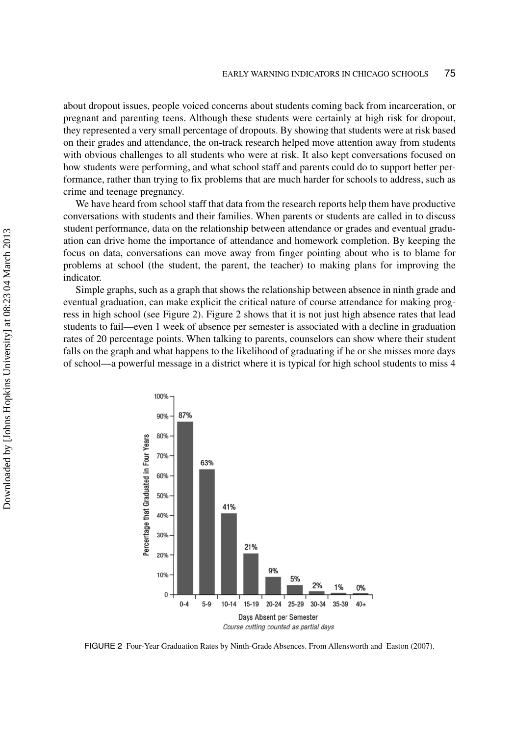about dropout issues, people voiced concerns about students coming back from incarceration, or pregnant and parenting teens. Although these students were certainly at high risk for dropout, they represented a very small percentage of dropouts. By showing that students were at risk based on their grades and attendance, the on-track research helped move attention away from students with obvious challenges to all students who were at risk. It also kept conversations focused on how students were performing, and what school staff and parents could do to support better performance, rather than trying to fix problems that are much harder for schools to address, such as crime and teenage pregnancy.

We have heard from school staff that data from the research reports help them have productive conversations with students and their families. When parents or students are called in to discuss student performance, data on the relationship between attendance or grades and eventual graduation can drive home the importance of attendance and homework completion. By keeping the focus on data, conversations can move away from finger pointing about who is to blame for problems at school (the student, the parent, the teacher) to making plans for improving the indicator.

Simple graphs, such as a graph that shows the relationship between absence in ninth grade and eventual graduation, can make explicit the critical nature of course attendance for making progress in high school (see Figure 2). Figure 2 shows that it is not just high absence rates that lead students to fail—even 1 week of absence per semester is associated with a decline in graduation rates of 20 percentage points. When talking to parents, counselors can show where their student falls on the graph and what happens to the likelihood of graduating if he or she misses more days of school—a powerful message in a district where it is typical for high school students to miss 4



FIGURE 2 Four-Year Graduation Rates by Ninth-Grade Absences. From Allensworth and Easton (2007).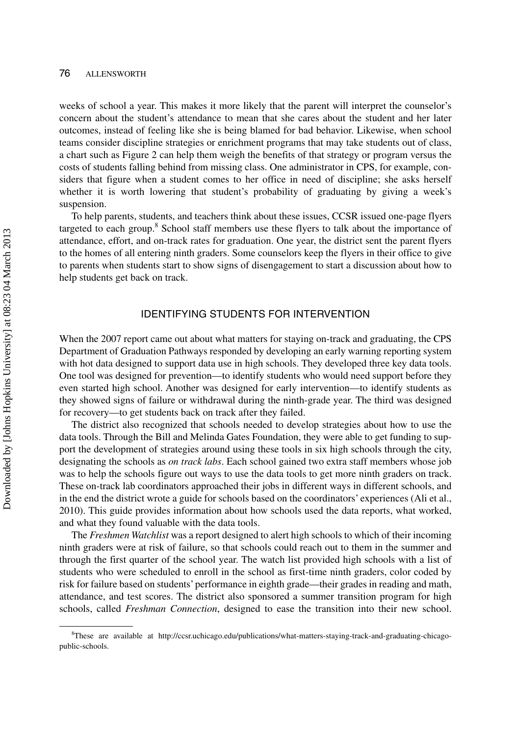weeks of school a year. This makes it more likely that the parent will interpret the counselor's concern about the student's attendance to mean that she cares about the student and her later outcomes, instead of feeling like she is being blamed for bad behavior. Likewise, when school teams consider discipline strategies or enrichment programs that may take students out of class, a chart such as Figure 2 can help them weigh the benefits of that strategy or program versus the costs of students falling behind from missing class. One administrator in CPS, for example, considers that figure when a student comes to her office in need of discipline; she asks herself whether it is worth lowering that student's probability of graduating by giving a week's suspension.

To help parents, students, and teachers think about these issues, CCSR issued one-page flyers targeted to each group.<sup>8</sup> School staff members use these flyers to talk about the importance of attendance, effort, and on-track rates for graduation. One year, the district sent the parent flyers to the homes of all entering ninth graders. Some counselors keep the flyers in their office to give to parents when students start to show signs of disengagement to start a discussion about how to help students get back on track.

#### IDENTIFYING STUDENTS FOR INTERVENTION

When the 2007 report came out about what matters for staying on-track and graduating, the CPS Department of Graduation Pathways responded by developing an early warning reporting system with hot data designed to support data use in high schools. They developed three key data tools. One tool was designed for prevention—to identify students who would need support before they even started high school. Another was designed for early intervention—to identify students as they showed signs of failure or withdrawal during the ninth-grade year. The third was designed for recovery—to get students back on track after they failed.

The district also recognized that schools needed to develop strategies about how to use the data tools. Through the Bill and Melinda Gates Foundation, they were able to get funding to support the development of strategies around using these tools in six high schools through the city, designating the schools as *on track labs*. Each school gained two extra staff members whose job was to help the schools figure out ways to use the data tools to get more ninth graders on track. These on-track lab coordinators approached their jobs in different ways in different schools, and in the end the district wrote a guide for schools based on the coordinators' experiences (Ali et al., 2010). This guide provides information about how schools used the data reports, what worked, and what they found valuable with the data tools.

The *Freshmen Watchlist* was a report designed to alert high schools to which of their incoming ninth graders were at risk of failure, so that schools could reach out to them in the summer and through the first quarter of the school year. The watch list provided high schools with a list of students who were scheduled to enroll in the school as first-time ninth graders, color coded by risk for failure based on students' performance in eighth grade—their grades in reading and math, attendance, and test scores. The district also sponsored a summer transition program for high schools, called *Freshman Connection*, designed to ease the transition into their new school.

<sup>8</sup> These are available at http://ccsr.uchicago.edu/publications/what-matters-staying-track-and-graduating-chicagopublic-schools.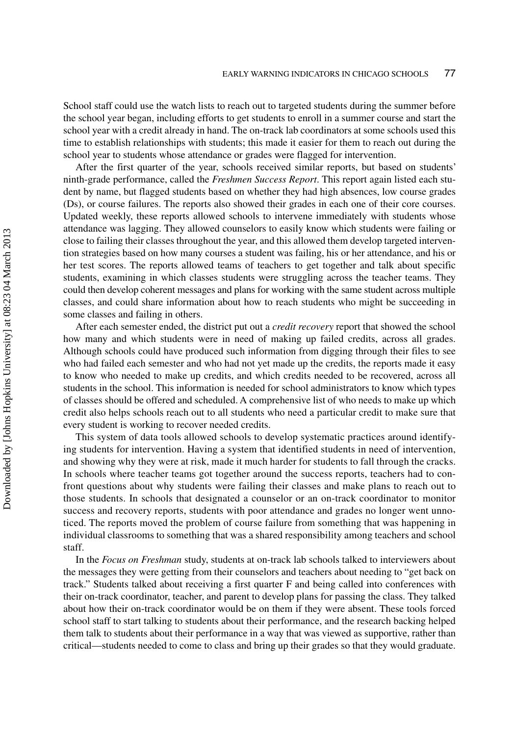School staff could use the watch lists to reach out to targeted students during the summer before the school year began, including efforts to get students to enroll in a summer course and start the school year with a credit already in hand. The on-track lab coordinators at some schools used this time to establish relationships with students; this made it easier for them to reach out during the school year to students whose attendance or grades were flagged for intervention.

After the first quarter of the year, schools received similar reports, but based on students' ninth-grade performance, called the *Freshmen Success Report*. This report again listed each student by name, but flagged students based on whether they had high absences, low course grades (Ds), or course failures. The reports also showed their grades in each one of their core courses. Updated weekly, these reports allowed schools to intervene immediately with students whose attendance was lagging. They allowed counselors to easily know which students were failing or close to failing their classes throughout the year, and this allowed them develop targeted intervention strategies based on how many courses a student was failing, his or her attendance, and his or her test scores. The reports allowed teams of teachers to get together and talk about specific students, examining in which classes students were struggling across the teacher teams. They could then develop coherent messages and plans for working with the same student across multiple classes, and could share information about how to reach students who might be succeeding in some classes and failing in others.

After each semester ended, the district put out a *credit recovery* report that showed the school how many and which students were in need of making up failed credits, across all grades. Although schools could have produced such information from digging through their files to see who had failed each semester and who had not yet made up the credits, the reports made it easy to know who needed to make up credits, and which credits needed to be recovered, across all students in the school. This information is needed for school administrators to know which types of classes should be offered and scheduled. A comprehensive list of who needs to make up which credit also helps schools reach out to all students who need a particular credit to make sure that every student is working to recover needed credits.

This system of data tools allowed schools to develop systematic practices around identifying students for intervention. Having a system that identified students in need of intervention, and showing why they were at risk, made it much harder for students to fall through the cracks. In schools where teacher teams got together around the success reports, teachers had to confront questions about why students were failing their classes and make plans to reach out to those students. In schools that designated a counselor or an on-track coordinator to monitor success and recovery reports, students with poor attendance and grades no longer went unnoticed. The reports moved the problem of course failure from something that was happening in individual classrooms to something that was a shared responsibility among teachers and school staff.

In the *Focus on Freshman* study, students at on-track lab schools talked to interviewers about the messages they were getting from their counselors and teachers about needing to "get back on track." Students talked about receiving a first quarter F and being called into conferences with their on-track coordinator, teacher, and parent to develop plans for passing the class. They talked about how their on-track coordinator would be on them if they were absent. These tools forced school staff to start talking to students about their performance, and the research backing helped them talk to students about their performance in a way that was viewed as supportive, rather than critical—students needed to come to class and bring up their grades so that they would graduate.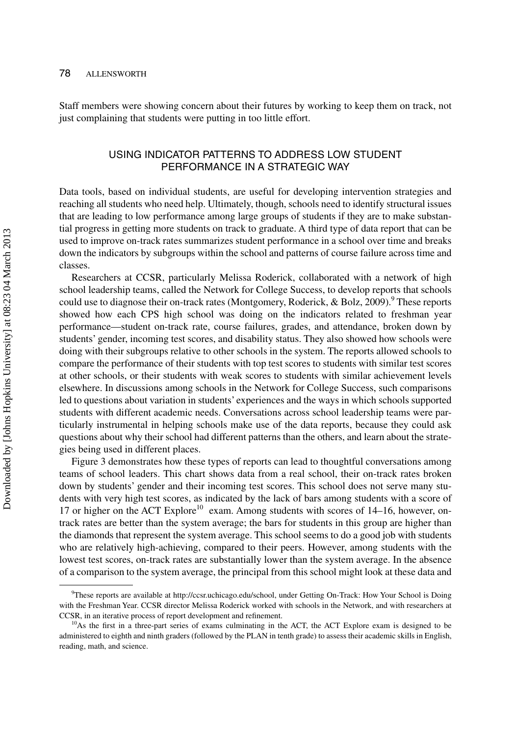Staff members were showing concern about their futures by working to keep them on track, not just complaining that students were putting in too little effort.

### USING INDICATOR PATTERNS TO ADDRESS LOW STUDENT PERFORMANCE IN A STRATEGIC WAY

Data tools, based on individual students, are useful for developing intervention strategies and reaching all students who need help. Ultimately, though, schools need to identify structural issues that are leading to low performance among large groups of students if they are to make substantial progress in getting more students on track to graduate. A third type of data report that can be used to improve on-track rates summarizes student performance in a school over time and breaks down the indicators by subgroups within the school and patterns of course failure across time and classes.

Researchers at CCSR, particularly Melissa Roderick, collaborated with a network of high school leadership teams, called the Network for College Success, to develop reports that schools could use to diagnose their on-track rates (Montgomery, Roderick, & Bolz, 2009).<sup>9</sup> These reports showed how each CPS high school was doing on the indicators related to freshman year performance—student on-track rate, course failures, grades, and attendance, broken down by students' gender, incoming test scores, and disability status. They also showed how schools were doing with their subgroups relative to other schools in the system. The reports allowed schools to compare the performance of their students with top test scores to students with similar test scores at other schools, or their students with weak scores to students with similar achievement levels elsewhere. In discussions among schools in the Network for College Success, such comparisons led to questions about variation in students' experiences and the ways in which schools supported students with different academic needs. Conversations across school leadership teams were particularly instrumental in helping schools make use of the data reports, because they could ask questions about why their school had different patterns than the others, and learn about the strategies being used in different places.

Figure 3 demonstrates how these types of reports can lead to thoughtful conversations among teams of school leaders. This chart shows data from a real school, their on-track rates broken down by students' gender and their incoming test scores. This school does not serve many students with very high test scores, as indicated by the lack of bars among students with a score of 17 or higher on the ACT Explore<sup>10</sup> exam. Among students with scores of  $14-16$ , however, ontrack rates are better than the system average; the bars for students in this group are higher than the diamonds that represent the system average. This school seems to do a good job with students who are relatively high-achieving, compared to their peers. However, among students with the lowest test scores, on-track rates are substantially lower than the system average. In the absence of a comparison to the system average, the principal from this school might look at these data and

<sup>9</sup> These reports are available at http://ccsr.uchicago.edu/school, under Getting On-Track: How Your School is Doing with the Freshman Year. CCSR director Melissa Roderick worked with schools in the Network, and with researchers at CCSR, in an iterative process of report development and refinement.<br><sup>10</sup>As the first in a three-part series of exams culminating in the ACT, the ACT Explore exam is designed to be

administered to eighth and ninth graders (followed by the PLAN in tenth grade) to assess their academic skills in English, reading, math, and science.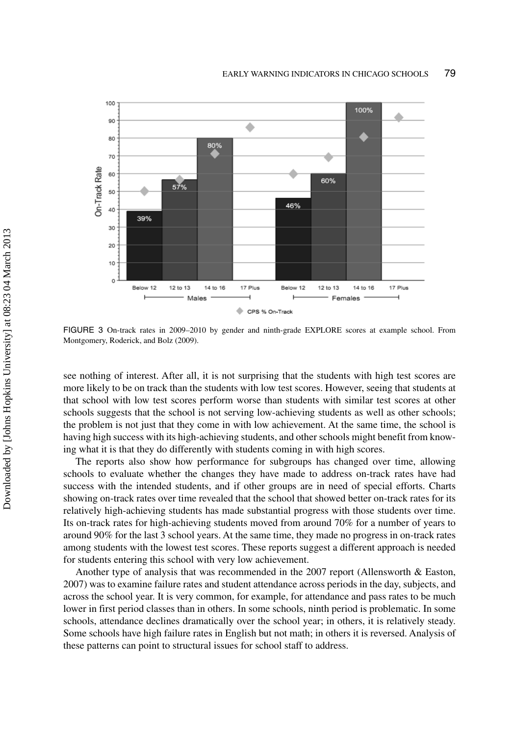

FIGURE 3 On-track rates in 2009–2010 by gender and ninth-grade EXPLORE scores at example school. From Montgomery, Roderick, and Bolz (2009).

see nothing of interest. After all, it is not surprising that the students with high test scores are more likely to be on track than the students with low test scores. However, seeing that students at that school with low test scores perform worse than students with similar test scores at other schools suggests that the school is not serving low-achieving students as well as other schools; the problem is not just that they come in with low achievement. At the same time, the school is having high success with its high-achieving students, and other schools might benefit from knowing what it is that they do differently with students coming in with high scores.

The reports also show how performance for subgroups has changed over time, allowing schools to evaluate whether the changes they have made to address on-track rates have had success with the intended students, and if other groups are in need of special efforts. Charts showing on-track rates over time revealed that the school that showed better on-track rates for its relatively high-achieving students has made substantial progress with those students over time. Its on-track rates for high-achieving students moved from around 70% for a number of years to around 90% for the last 3 school years. At the same time, they made no progress in on-track rates among students with the lowest test scores. These reports suggest a different approach is needed for students entering this school with very low achievement.

Another type of analysis that was recommended in the 2007 report (Allensworth & Easton, 2007) was to examine failure rates and student attendance across periods in the day, subjects, and across the school year. It is very common, for example, for attendance and pass rates to be much lower in first period classes than in others. In some schools, ninth period is problematic. In some schools, attendance declines dramatically over the school year; in others, it is relatively steady. Some schools have high failure rates in English but not math; in others it is reversed. Analysis of these patterns can point to structural issues for school staff to address.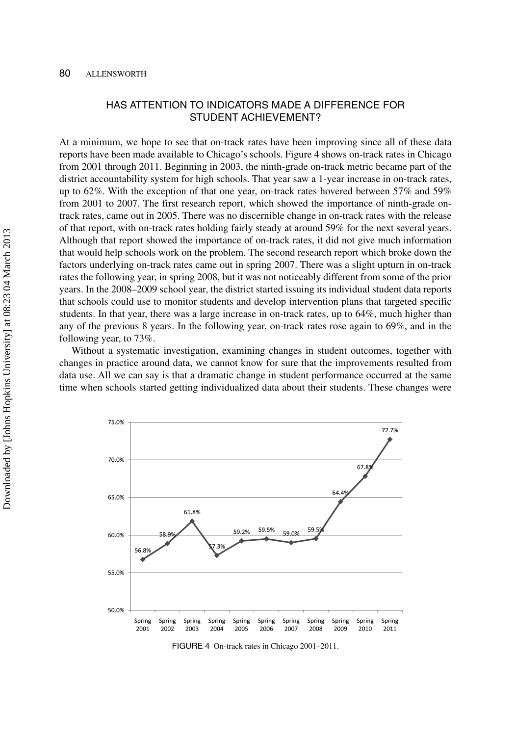# HAS ATTENTION TO INDICATORS MADE A DIFFERENCE FOR STUDENT ACHIEVEMENT?

At a minimum, we hope to see that on-track rates have been improving since all of these data reports have been made available to Chicago's schools. Figure 4 shows on-track rates in Chicago from 2001 through 2011. Beginning in 2003, the ninth-grade on-track metric became part of the district accountability system for high schools. That year saw a 1-year increase in on-track rates, up to 62%. With the exception of that one year, on-track rates hovered between 57% and 59% from 2001 to 2007. The first research report, which showed the importance of ninth-grade ontrack rates, came out in 2005. There was no discernible change in on-track rates with the release of that report, with on-track rates holding fairly steady at around 59% for the next several years. Although that report showed the importance of on-track rates, it did not give much information that would help schools work on the problem. The second research report which broke down the factors underlying on-track rates came out in spring 2007. There was a slight upturn in on-track rates the following year, in spring 2008, but it was not noticeably different from some of the prior years. In the 2008–2009 school year, the district started issuing its individual student data reports that schools could use to monitor students and develop intervention plans that targeted specific students. In that year, there was a large increase in on-track rates, up to 64%, much higher than any of the previous 8 years. In the following year, on-track rates rose again to 69%, and in the following year, to 73%.

Without a systematic investigation, examining changes in student outcomes, together with changes in practice around data, we cannot know for sure that the improvements resulted from data use. All we can say is that a dramatic change in student performance occurred at the same time when schools started getting individualized data about their students. These changes were



FIGURE 4 On-track rates in Chicago 2001–2011.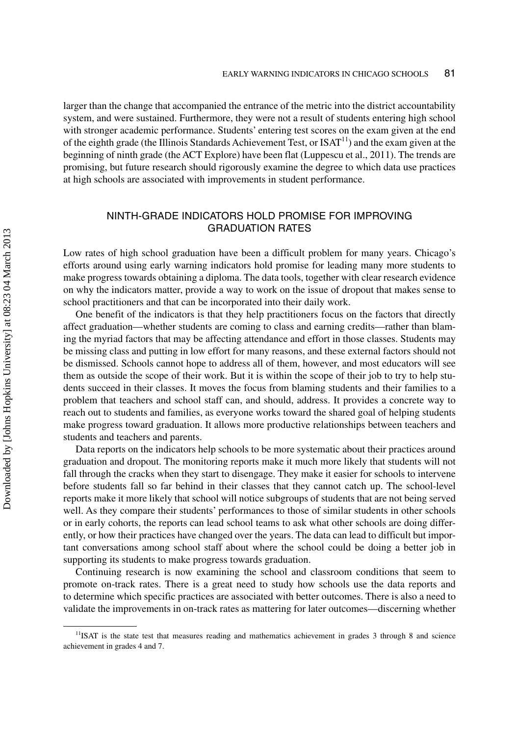larger than the change that accompanied the entrance of the metric into the district accountability system, and were sustained. Furthermore, they were not a result of students entering high school with stronger academic performance. Students' entering test scores on the exam given at the end of the eighth grade (the Illinois Standards Achievement Test, or  $ISAT<sup>11</sup>$ ) and the exam given at the beginning of ninth grade (the ACT Explore) have been flat (Luppescu et al., 2011). The trends are promising, but future research should rigorously examine the degree to which data use practices at high schools are associated with improvements in student performance.

### NINTH-G RADE INDICATORS HOLD PROMISE FOR IMPROVING GRADUATION RATES

 Low rates of high school graduation have been a difficult problem for many years. Chicago's efforts around using early warning indicators hold promise for leading many more students to make progress towards obtaining a diploma. The data tools, together with clear research evidence on why the indicators matter, provide a way to work on the issue of dropout that makes sense to school practitioners and that can be incorporated into their daily work.

One benefit of the indicators is that they help practitioners focus on the factors that directly affect graduation—whether students are coming to class and earning credits—rather than blaming the myriad factors that may be affecting attendance and effort in those classes. Students may be missing class and putting in low effort for many reasons, and these external factors should not be dismissed. Schools cannot hope to address all of them, however, and most educators will see them as outside the scope of their work. But it is within the scope of their job to try to help students succeed in their classes. It moves the focus from blaming students and their families to a problem that teachers and school staff can, and should, address. It provides a concrete way to reach out to students and families, as everyone works toward the shared goal of helping students make progress toward graduation. It allows more productive relationships between teachers and students and teachers and parents.

Data reports on the indicators help schools to be more systematic about their practices around graduation and dropout. The monitoring reports make it much more likely that students will not fall through the cracks when they start to disengage. They make it easier for schools to intervene before students fall so far behind in their classes that they cannot catch up. The school-level reports make it more likely that school will notice subgroups of students that are not being served well. As they compare their students' performances to those of similar students in other schools or in early cohorts, the reports can lead school teams to ask what other schools are doing differently, or how their practices have changed over the years. The data can lead to difficult but important conversations among school staff about where the school could be doing a better job in supporting its students to make progress towards graduation.

Continuing research is now examining the school and classroom conditions that seem to promote on-track rates. There is a great need to study how schools use the data reports and to determine which specific practices are associated with better outcomes. There is also a need to validate the improvements in on-track rates as mattering for later outcomes—discerning whether

<sup>&</sup>lt;sup>11</sup>ISAT is the state test that measures reading and mathematics achievement in grades 3 through 8 and science achievement in grades 4 and 7.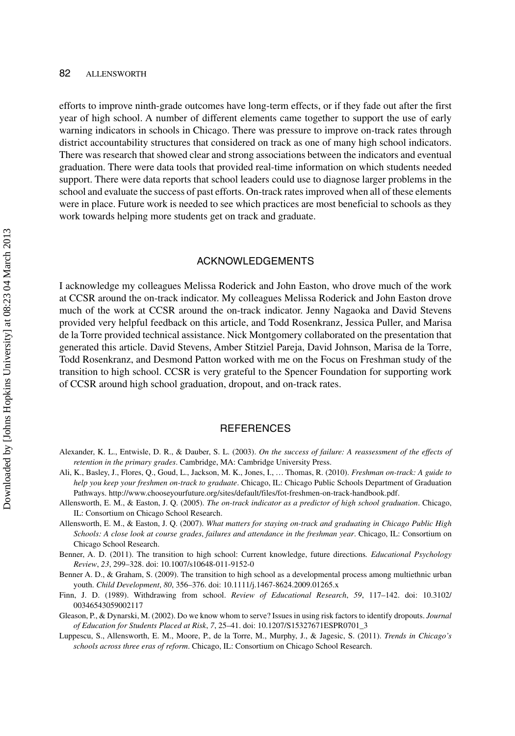#### 82 ALLENSWORTH

efforts to improve ninth-grade outcomes have long-term effects, or if they fade out after the first year of high school. A number of different elements came together to support the use of early warning indicators in schools in Chicago. There was pressure to improve on-track rates through district accountability structures that considered on track as one of many high school indicators. There was research that showed clear and strong associations between the indicators and eventual graduation. There were data tools that provided real-time information on which students needed support. There were data reports that school leaders could use to diagnose larger problems in the school and evaluate the success of past efforts. On-track rates improved when all of these elements were in place. Future work is needed to see which practices are most beneficial to schools as they work towards helping more students get on track and graduate.

#### ACKNOWLEDGEMENTS

I acknowledge my colleagues Melissa Roderick and John Easton, who drove much of the work at CCSR around the on-track indicator. My colleagues Melissa Roderick and John Easton drove much of the work at CCSR around the on-track indicator. Jenny Nagaoka and David Stevens provided very helpful feedback on this article, and Todd Rosenkranz, Jessica Puller, and Marisa de la Torre provided technical assistance. Nick Montgomery collaborated on the presentation that generated this article. David Stevens, Amber Stitziel Pareja, David Johnson, Marisa de la Torre, Todd Rosenkranz, and Desmond Patton worked with me on the Focus on Freshman study of the transition to high school. CCSR is very grateful to the Spencer Foundation for supporting work of CCSR around high school graduation, dropout, and on-track rates.

#### **REFERENCES**

- Alexander, K. L., Entwisle, D. R., & Dauber, S. L. (2003). *On the success of failure: A reassessment of the effects of retention in the primary grades*. Cambridge, MA: Cambridge University Press.
- Ali, K., Basley, J., Flores, Q., Goud, L., Jackson, M. K., Jones, I., … Thomas, R. (2010). *Freshman on-track: A guide to help you keep your freshmen on-track to graduate*. Chicago, IL: Chicago Public Schools Department of Graduation Pathways. http://www.chooseyourfuture.org/sites/default/files/fot-freshmen-on-track-handbook.pdf.
- Allensworth, E. M., & Easton, J. Q. (2005). *The on-track indicator as a predictor of high school graduation*. Chicago, IL: Consortium on Chicago School Research.
- Allensworth, E. M., & Easton, J. Q. (2007). *What matters for staying on-track and graduating in Chicago Public High Schools: A close look at course grades*, *failures and attendance in the freshman year*. Chicago, IL: Consortium on Chicago School Research.
- Benner, A. D. (2011). The transition to high school: Current knowledge, future directions*. Educational Psychology Review*, *23*, 299–328. doi: 10.1007/s10648-011-9152-0
- Benner A. D., & Graham, S. (2009). The transition to high school as a developmental process among multiethnic urban youth. *Child Development*, *80*, 356–376. doi: 10.1111/j.1467-8624.2009.01265.x
- Finn, J. D. (1989). Withdrawing from school. *Review of Educational Research*, *59*, 117–142. doi: 10.3102/ 00346543059002117
- Gleason, P., & Dynarski, M. (2002). Do we know whom to serve? Issues in using risk factors to identify dropouts. *Journal of Education for Students Placed at Risk*, *7*, 25–41. doi: 10.1207/S15327671ESPR0701\_3
- Luppescu, S., Allensworth, E. M., Moore, P., de la Torre, M., Murphy, J., & Jagesic, S. (2011). *Trends in Chicago's schools across three eras of reform*. Chicago, IL: Consortium on Chicago School Research.